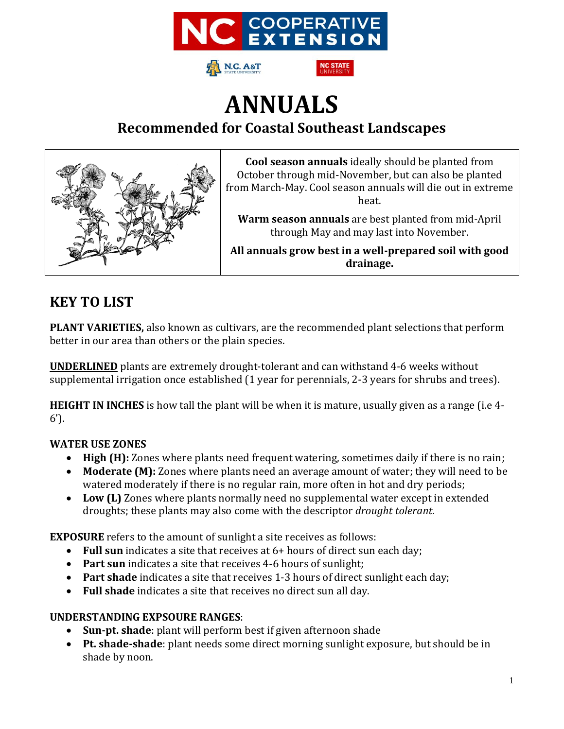



# **ANNUALS Recommended for Coastal Southeast Landscapes**



**Cool season annuals** ideally should be planted from October through mid-November, but can also be planted from March-May. Cool season annuals will die out in extreme heat.

**Warm season annuals** are best planted from mid-April through May and may last into November.

**All annuals grow best in a well-prepared soil with good drainage.**

### **KEY TO LIST**

**PLANT VARIETIES,** also known as cultivars, are the recommended plant selections that perform better in our area than others or the plain species.

**UNDERLINED** plants are extremely drought-tolerant and can withstand 4-6 weeks without supplemental irrigation once established (1 year for perennials, 2-3 years for shrubs and trees).

**HEIGHT IN INCHES** is how tall the plant will be when it is mature, usually given as a range (i.e 4- 6').

#### **WATER USE ZONES**

- **High (H):** Zones where plants need frequent watering, sometimes daily if there is no rain;
- **Moderate (M):** Zones where plants need an average amount of water; they will need to be watered moderately if there is no regular rain, more often in hot and dry periods;
- **Low (L)** Zones where plants normally need no supplemental water except in extended droughts; these plants may also come with the descriptor *drought tolerant*.

**EXPOSURE** refers to the amount of sunlight a site receives as follows:

- **Full sun** indicates a site that receives at 6+ hours of direct sun each day;
- **Part sun** indicates a site that receives 4-6 hours of sunlight;
- **Part shade** indicates a site that receives 1-3 hours of direct sunlight each day;
- **Full shade** indicates a site that receives no direct sun all day.

#### **UNDERSTANDING EXPSOURE RANGES**:

- **Sun-pt. shade**: plant will perform best if given afternoon shade
- **Pt. shade-shade**: plant needs some direct morning sunlight exposure, but should be in shade by noon.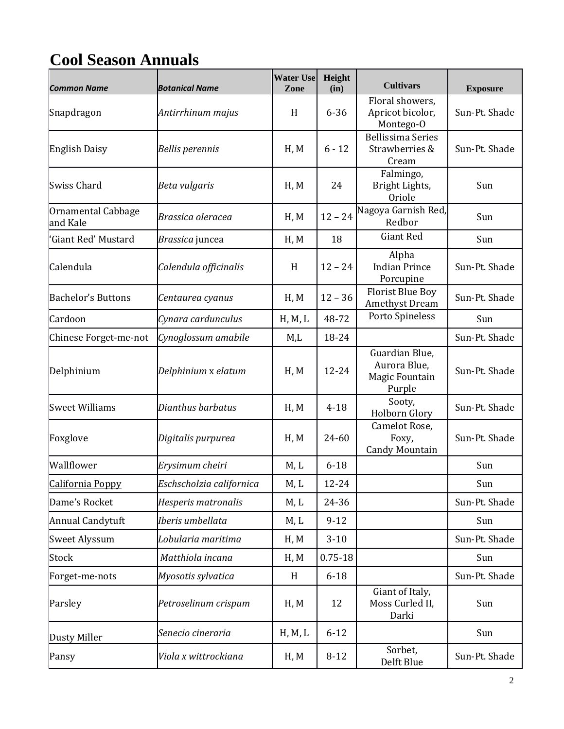# **Cool Season Annuals**

| <b>Common Name</b>             | <b>Botanical Name</b>    | <b>Water Use</b><br>Zone | Height<br>(in) | <b>Cultivars</b>                                           | <b>Exposure</b> |
|--------------------------------|--------------------------|--------------------------|----------------|------------------------------------------------------------|-----------------|
| Snapdragon                     | Antirrhinum majus        | H                        | $6 - 36$       | Floral showers,<br>Apricot bicolor,<br>Montego-O           | Sun-Pt. Shade   |
| <b>English Daisy</b>           | <b>Bellis perennis</b>   | H, M                     | $6 - 12$       | <b>Bellissima Series</b><br>Strawberries &<br>Cream        | Sun-Pt. Shade   |
| <b>Swiss Chard</b>             | Beta vulgaris            | H, M                     | 24             | Falmingo,<br>Bright Lights,<br><b>Oriole</b>               | Sun             |
| Ornamental Cabbage<br>and Kale | Brassica oleracea        | H, M                     | $12 - 24$      | Nagoya Garnish Red,<br>Redbor                              | Sun             |
| 'Giant Red' Mustard            | Brassica juncea          | H, M                     | 18             | <b>Giant Red</b>                                           | Sun             |
| Calendula                      | Calendula officinalis    | H                        | $12 - 24$      | Alpha<br><b>Indian Prince</b><br>Porcupine                 | Sun-Pt. Shade   |
| <b>Bachelor's Buttons</b>      | Centaurea cyanus         | H, M                     | $12 - 36$      | <b>Florist Blue Boy</b><br>Amethyst Dream                  | Sun-Pt. Shade   |
| Cardoon                        | Cynara cardunculus       | H, M, L                  | 48-72          | Porto Spineless                                            | Sun             |
| Chinese Forget-me-not          | Cynoglossum amabile      | M,L                      | 18-24          |                                                            | Sun-Pt. Shade   |
| Delphinium                     | Delphinium x elatum      | H, M                     | 12-24          | Guardian Blue,<br>Aurora Blue,<br>Magic Fountain<br>Purple | Sun-Pt. Shade   |
| <b>Sweet Williams</b>          | Dianthus barbatus        | H, M                     | $4 - 18$       | Sooty,<br>Holborn Glory                                    | Sun-Pt. Shade   |
| Foxglove                       | Digitalis purpurea       | H, M                     | 24-60          | Camelot Rose,<br>Foxy,<br><b>Candy Mountain</b>            | Sun-Pt. Shade   |
| Wallflower                     | Erysimum cheiri          | M, L                     | $6 - 18$       |                                                            | Sun             |
| California Poppy               | Eschscholzia californica | M, L                     | 12-24          |                                                            | Sun             |
| Dame's Rocket                  | Hesperis matronalis      | M, L                     | 24-36          |                                                            | Sun-Pt. Shade   |
| Annual Candytuft               | Iberis umbellata         | M, L                     | $9 - 12$       |                                                            | Sun             |
| <b>Sweet Alyssum</b>           | Lobularia maritima       | H, M                     | $3 - 10$       |                                                            | Sun-Pt. Shade   |
| Stock                          | Matthiola incana         | H, M                     | $0.75 - 18$    |                                                            | Sun             |
| Forget-me-nots                 | Myosotis sylvatica       | H                        | $6 - 18$       |                                                            | Sun-Pt. Shade   |
| Parsley                        | Petroselinum crispum     | H, M                     | 12             | Giant of Italy,<br>Moss Curled II,<br>Darki                | Sun             |
| <b>Dusty Miller</b>            | Senecio cineraria        | H, M, L                  | $6 - 12$       |                                                            | Sun             |
| Pansy                          | Viola x wittrockiana     | H, M                     | $8 - 12$       | Sorbet,<br>Delft Blue                                      | Sun-Pt. Shade   |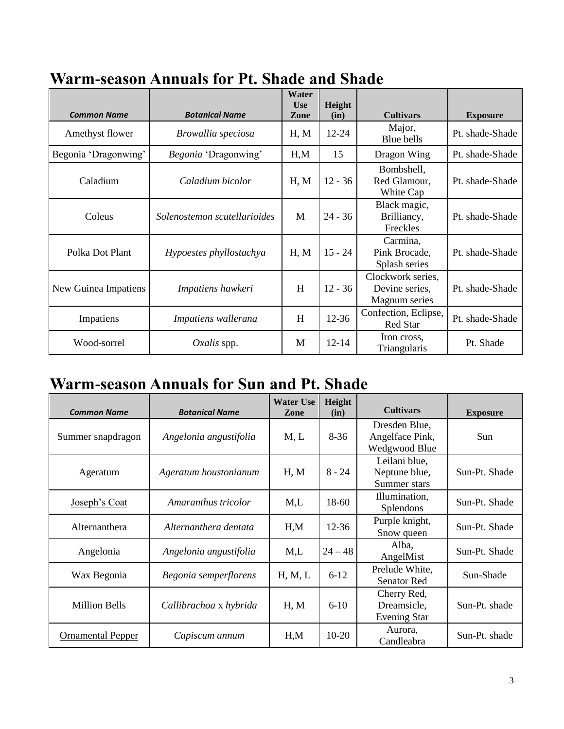| <b>Common Name</b>   | <b>Botanical Name</b>        | Water<br><b>Use</b><br>Zone | Height<br>(in) | <b>Cultivars</b>                                     | <b>Exposure</b> |  |
|----------------------|------------------------------|-----------------------------|----------------|------------------------------------------------------|-----------------|--|
| Amethyst flower      | Browallia speciosa           | H, M                        | $12 - 24$      | Major,<br>Blue bells                                 | Pt. shade-Shade |  |
| Begonia 'Dragonwing' | Begonia 'Dragonwing'         | H.M                         | 15             | Dragon Wing                                          | Pt. shade-Shade |  |
| Caladium             | Caladium bicolor             | H, M                        | $12 - 36$      | Bombshell,<br>Red Glamour,<br>White Cap              | Pt. shade-Shade |  |
| Coleus               | Solenostemon scutellarioides | M                           | $24 - 36$      | Black magic,<br>Brilliancy,<br>Freckles              | Pt. shade-Shade |  |
| Polka Dot Plant      | Hypoestes phyllostachya      | H, M                        | $15 - 24$      | Carmina,<br>Pink Brocade,<br>Splash series           | Pt. shade-Shade |  |
| New Guinea Impatiens | Impatiens hawkeri            | H                           | $12 - 36$      | Clockwork series,<br>Devine series,<br>Magnum series | Pt. shade-Shade |  |
| Impatiens            | Impatiens wallerana          | H                           | $12 - 36$      | Confection, Eclipse,<br><b>Red Star</b>              | Pt. shade-Shade |  |
| Wood-sorrel          | $Oxalis$ spp.                | M                           | $12 - 14$      | Iron cross,<br>Triangularis                          | Pt. Shade       |  |

# **Warm-season Annuals for Pt. Shade and Shade**

### **Warm-season Annuals for Sun and Pt. Shade**

| <b>Common Name</b>       | <b>Botanical Name</b>  | <b>Water Use</b><br><b>Zone</b> | Height<br>(in) | <b>Cultivars</b>                                  | <b>Exposure</b> |
|--------------------------|------------------------|---------------------------------|----------------|---------------------------------------------------|-----------------|
| Summer snapdragon        | Angelonia angustifolia | M, L                            | $8-36$         | Dresden Blue,<br>Angelface Pink,<br>Wedgwood Blue | Sun             |
| Ageratum                 | Ageratum houstonianum  | H, M                            | $8 - 24$       | Leilani blue,<br>Neptune blue,<br>Summer stars    | Sun-Pt. Shade   |
| <u>Joseph's Coat</u>     | Amaranthus tricolor    | M <sub>1</sub>                  | 18-60          | Illumination,<br>Splendons                        | Sun-Pt. Shade   |
| Alternanthera            | Alternanthera dentata  | H, M                            | $12 - 36$      | Purple knight,<br>Snow queen                      | Sun-Pt. Shade   |
| Angelonia                | Angelonia angustifolia | M,L                             | $24 - 48$      | Alba,<br>AngelMist                                | Sun-Pt. Shade   |
| Wax Begonia              | Begonia semperflorens  | H, M, L                         | $6 - 12$       | Prelude White,<br><b>Senator Red</b>              | Sun-Shade       |
| <b>Million Bells</b>     | Callibrachoa x hybrida | H, M                            | $6 - 10$       | Cherry Red,<br>Dreamsicle,<br><b>Evening Star</b> | Sun-Pt. shade   |
| <b>Ornamental Pepper</b> | Capiscum annum         | H.M                             | $10-20$        | Aurora,<br>Candleabra                             | Sun-Pt. shade   |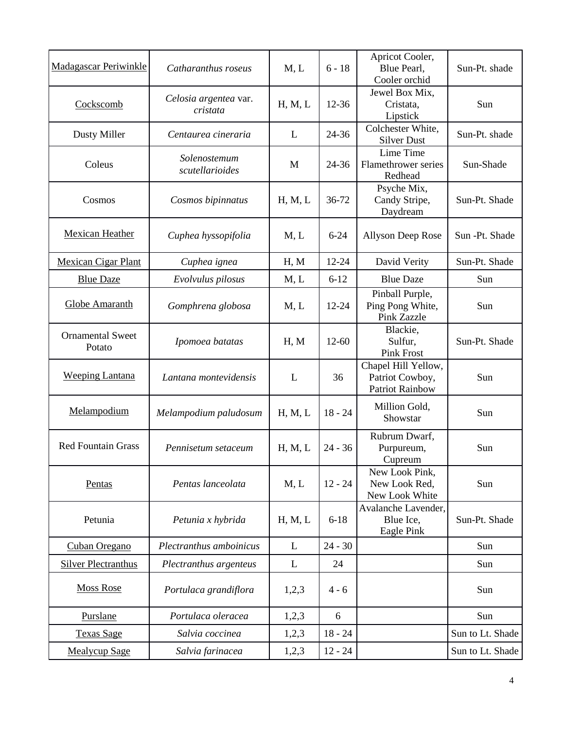| <b>Madagascar Periwinkle</b>      | Catharanthus roseus               | M, L    | $6 - 18$  | Apricot Cooler,<br>Blue Pearl,<br>Cooler orchid                  | Sun-Pt. shade    |
|-----------------------------------|-----------------------------------|---------|-----------|------------------------------------------------------------------|------------------|
| Cockscomb                         | Celosia argentea var.<br>cristata | H, M, L | 12-36     | Jewel Box Mix,<br>Cristata,<br>Lipstick                          | Sun              |
| Dusty Miller                      | Centaurea cineraria               | L       | 24-36     | Colchester White,<br><b>Silver Dust</b>                          | Sun-Pt. shade    |
| Coleus                            | Solenostemum<br>scutellarioides   | M       | 24-36     | Lime Time<br>Flamethrower series<br>Redhead                      | Sun-Shade        |
| Cosmos                            | Cosmos bipinnatus                 | H, M, L | 36-72     | Psyche Mix,<br>Candy Stripe,<br>Daydream                         | Sun-Pt. Shade    |
| <b>Mexican Heather</b>            | Cuphea hyssopifolia               | M, L    | $6 - 24$  | <b>Allyson Deep Rose</b>                                         | Sun -Pt. Shade   |
| <b>Mexican Cigar Plant</b>        | Cuphea ignea                      | H, M    | 12-24     | David Verity                                                     | Sun-Pt. Shade    |
| <b>Blue Daze</b>                  | Evolvulus pilosus                 | M, L    | $6 - 12$  | <b>Blue Daze</b>                                                 | Sun              |
| Globe Amaranth                    | Gomphrena globosa                 | M, L    | 12-24     | Pinball Purple,<br>Ping Pong White,<br><b>Pink Zazzle</b>        | Sun              |
| <b>Ornamental Sweet</b><br>Potato | Ipomoea batatas                   | H, M    | $12 - 60$ | Blackie,<br>Sulfur,<br><b>Pink Frost</b>                         | Sun-Pt. Shade    |
| <b>Weeping Lantana</b>            | Lantana montevidensis             | L       | 36        | Chapel Hill Yellow,<br>Patriot Cowboy,<br><b>Patriot Rainbow</b> | Sun              |
| Melampodium                       | Melampodium paludosum             | H, M, L | $18 - 24$ | Million Gold,<br>Showstar                                        | Sun              |
| <b>Red Fountain Grass</b>         | Pennisetum setaceum               | H, M, L | $24 - 36$ | Rubrum Dwarf,<br>Purpureum,<br>Cupreum                           | Sun              |
| Pentas                            | Pentas lanceolata                 | M, L    | $12 - 24$ | New Look Pink,<br>New Look Red,<br>New Look White                | Sun              |
| Petunia                           | Petunia x hybrida                 | H, M, L | $6 - 18$  | Avalanche Lavender,<br>Blue Ice,<br>Eagle Pink                   | Sun-Pt. Shade    |
| Cuban Oregano                     | Plectranthus amboinicus           | L       | $24 - 30$ |                                                                  | Sun              |
| <b>Silver Plectranthus</b>        | Plectranthus argenteus            | L       | 24        |                                                                  | Sun              |
| <b>Moss Rose</b>                  | Portulaca grandiflora             | 1,2,3   | $4 - 6$   |                                                                  | Sun              |
| Purslane                          | Portulaca oleracea                | 1,2,3   | 6         |                                                                  | Sun              |
| <b>Texas Sage</b>                 | Salvia coccinea                   | 1,2,3   | $18 - 24$ |                                                                  | Sun to Lt. Shade |
| <b>Mealycup Sage</b>              | Salvia farinacea                  | 1,2,3   | $12 - 24$ |                                                                  | Sun to Lt. Shade |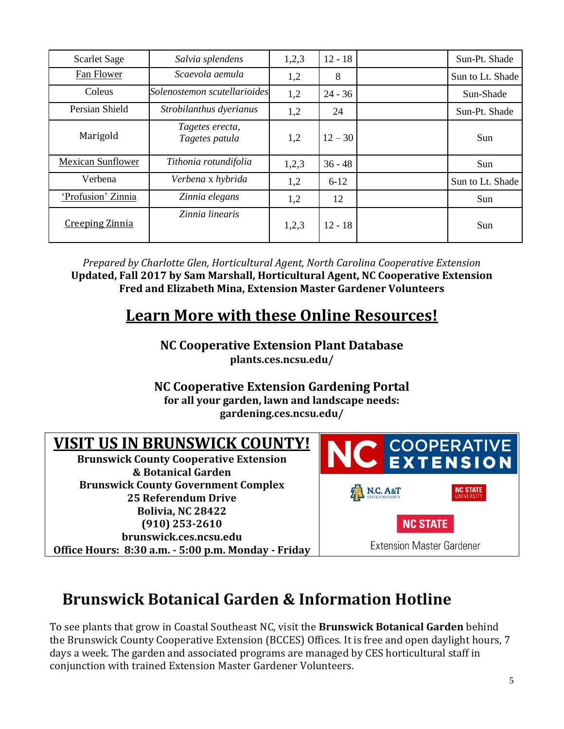| <b>Scarlet Sage</b>      | Salvia splendens                  | 1,2,3 | $12 - 18$ | Sun-Pt. Shade    |
|--------------------------|-----------------------------------|-------|-----------|------------------|
| Fan Flower               | Scaevola aemula                   | 1,2   | 8         | Sun to Lt. Shade |
| Coleus                   | Solenostemon scutellarioides      | 1,2   | $24 - 36$ | Sun-Shade        |
| Persian Shield           | Strobilanthus dyerianus           | 1,2   | 24        | Sun-Pt. Shade    |
| Marigold                 | Tagetes erecta,<br>Tagetes patula | 1,2   | $12 - 30$ | Sun              |
| <b>Mexican Sunflower</b> | Tithonia rotundifolia             | 1,2,3 | $36 - 48$ | Sun              |
| Verbena                  | Verbena x hybrida                 | 1,2   | $6-12$    | Sun to Lt. Shade |
| 'Profusion' Zinnia       | Zinnia elegans                    | 1,2   | 12        | Sun              |
| <b>Creeping Zinnia</b>   | Zinnia linearis                   | 1,2,3 | $12 - 18$ | Sun              |

*Prepared by Charlotte Glen, Horticultural Agent, North Carolina Cooperative Extension* **Updated, Fall 2017 by Sam Marshall, Horticultural Agent, NC Cooperative Extension Fred and Elizabeth Mina, Extension Master Gardener Volunteers**

### **Learn More with these Online Resources!**

### **NC Cooperative Extension Plant Database plants.ces.ncsu.edu/**

**NC Cooperative Extension Gardening Portal for all your garden, lawn and landscape needs: gardening.ces.ncsu.edu/**

# **VISIT US IN BRUNSWICK COUNTY!**

**Brunswick County Cooperative Extension & Botanical Garden Brunswick County Government Complex 25 Referendum Drive Bolivia, NC 28422 (910) 253-2610 brunswick.ces.ncsu.edu Office Hours: 8:30 a.m. - 5:00 p.m. Monday - Friday**



# **Brunswick Botanical Garden & Information Hotline**

To see plants that grow in Coastal Southeast NC, visit the **Brunswick Botanical Garden** behind the Brunswick County Cooperative Extension (BCCES) Offices. It is free and open daylight hours, 7 days a week. The garden and associated programs are managed by CES horticultural staff in conjunction with trained Extension Master Gardener Volunteers.